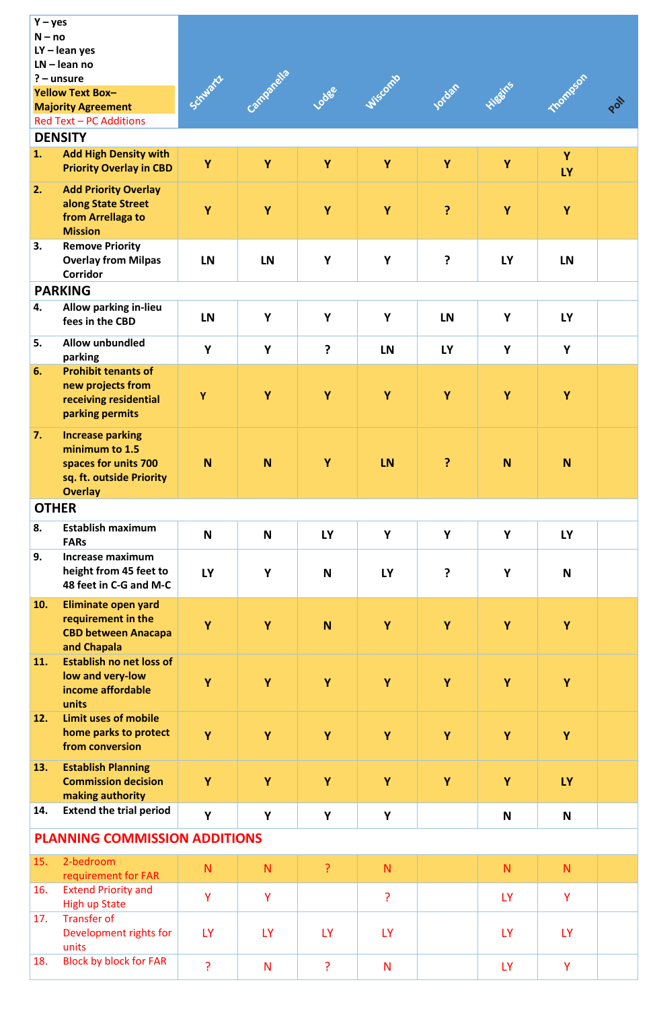| $Y - yes$<br>$N - no$<br>$LY -$ lean yes<br>$LN - lean$ no<br>$? -$ unsure<br><b>Yellow Text Box-</b><br><b>Majority Agreement</b> |                                                                                                                 | Schwarz   | impanella |           | Lodge Wiscomb | Jocom Higgins |           | mompson   | DON |
|------------------------------------------------------------------------------------------------------------------------------------|-----------------------------------------------------------------------------------------------------------------|-----------|-----------|-----------|---------------|---------------|-----------|-----------|-----|
| <b>Red Text - PC Additions</b>                                                                                                     |                                                                                                                 |           |           |           |               |               |           |           |     |
| 1.                                                                                                                                 | <b>DENSITY</b><br><b>Add High Density with</b>                                                                  |           |           |           |               |               |           | Y         |     |
|                                                                                                                                    | <b>Priority Overlay in CBD</b>                                                                                  | Y         | Y         | Y         | Y             | Y             | Y         | <b>LY</b> |     |
| 2.                                                                                                                                 | <b>Add Priority Overlay</b><br>along State Street<br>from Arrellaga to<br><b>Mission</b>                        | Y         | Y         | Y         | Y             | ?             | Y         | Y         |     |
| 3.                                                                                                                                 | <b>Remove Priority</b><br><b>Overlay from Milpas</b><br>Corridor                                                | <b>LN</b> | <b>LN</b> | Y         | Y             | ?             | <b>LY</b> | <b>LN</b> |     |
|                                                                                                                                    | <b>PARKING</b>                                                                                                  |           |           |           |               |               |           |           |     |
| 4.                                                                                                                                 | <b>Allow parking in-lieu</b><br>fees in the CBD                                                                 | <b>LN</b> | Y         | Y         | Y             | <b>LN</b>     | Y         | <b>LY</b> |     |
| 5.                                                                                                                                 | <b>Allow unbundled</b><br>parking                                                                               | Y         | Y         | ?         | <b>LN</b>     | <b>LY</b>     | Y         | Y         |     |
| 6.                                                                                                                                 | <b>Prohibit tenants of</b>                                                                                      |           |           |           |               |               |           |           |     |
|                                                                                                                                    | new projects from<br>receiving residential<br>parking permits                                                   | Y         | Y         | Y         | Y             | Y             | Y         | Y         |     |
| 7.                                                                                                                                 | <b>Increase parking</b><br>minimum to 1.5<br>spaces for units 700<br>sq. ft. outside Priority<br><b>Overlay</b> | <b>N</b>  | N         | Y         | <b>LN</b>     | ?             | N         | <b>N</b>  |     |
| <b>OTHER</b>                                                                                                                       |                                                                                                                 |           |           |           |               |               |           |           |     |
| 8.                                                                                                                                 | <b>Establish maximum</b><br><b>FARs</b>                                                                         | N         | N         | <b>LY</b> | Y             | Y             | Y         | <b>LY</b> |     |
| 9.                                                                                                                                 | <b>Increase maximum</b><br>height from 45 feet to<br>48 feet in C-G and M-C                                     | <b>LY</b> | Y         | N         | <b>LY</b>     | ?             | Y         | N         |     |
| 10.                                                                                                                                | <b>Eliminate open yard</b><br>requirement in the<br><b>CBD between Anacapa</b><br>and Chapala                   | Y         | Y         | N         | Y             | Y             | Y         | Y         |     |
| 11.                                                                                                                                | <b>Establish no net loss of</b><br>low and very-low<br>income affordable<br>units                               | Y         | Y         | Y         | Y             | Y             | Y         | Y         |     |
| 12.                                                                                                                                | <b>Limit uses of mobile</b><br>home parks to protect<br>from conversion                                         | Y         | Y         | Y         | Υ             | Y             | Y         | Υ         |     |
| 13.                                                                                                                                | <b>Establish Planning</b><br><b>Commission decision</b><br>making authority                                     | Y         | Y         | Y         | Y             | Y             | Y         | <b>LY</b> |     |
| 14.                                                                                                                                | <b>Extend the trial period</b>                                                                                  | Y         | Y         | Y         | Y             |               | N         | N         |     |
| <b>PLANNING COMMISSION ADDITIONS</b>                                                                                               |                                                                                                                 |           |           |           |               |               |           |           |     |
| 15.                                                                                                                                | 2-bedroom<br>requirement for FAR                                                                                | N         | N.        | ?         | N.            |               | N         | N         |     |
| 16.                                                                                                                                | <b>Extend Priority and</b><br><b>High up State</b>                                                              | Y         | Y         |           | ?             |               | <b>LY</b> | Y         |     |
| 17.                                                                                                                                | <b>Transfer of</b><br>Development rights for<br>units                                                           | <b>LY</b> | <b>LY</b> | <b>LY</b> | <b>LY</b>     |               | <b>LY</b> | <b>LY</b> |     |
| 18.                                                                                                                                | <b>Block by block for FAR</b>                                                                                   | ?         | N         | ?         | N             |               | <b>LY</b> | Y         |     |